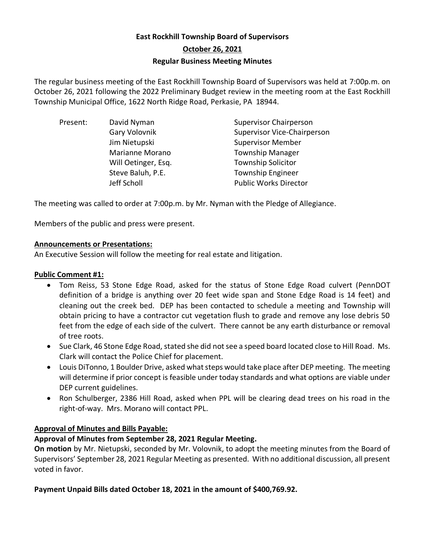# **East Rockhill Township Board of Supervisors October 26, 2021 Regular Business Meeting Minutes**

The regular business meeting of the East Rockhill Township Board of Supervisors was held at 7:00p.m. on October 26, 2021 following the 2022 Preliminary Budget review in the meeting room at the East Rockhill Township Municipal Office, 1622 North Ridge Road, Perkasie, PA 18944.

| <b>Supervisor Chairperson</b>      |
|------------------------------------|
| <b>Supervisor Vice-Chairperson</b> |
| <b>Supervisor Member</b>           |
| <b>Township Manager</b>            |
| <b>Township Solicitor</b>          |
| <b>Township Engineer</b>           |
| <b>Public Works Director</b>       |
|                                    |

The meeting was called to order at 7:00p.m. by Mr. Nyman with the Pledge of Allegiance.

Members of the public and press were present.

#### **Announcements or Presentations:**

An Executive Session will follow the meeting for real estate and litigation.

#### **Public Comment #1:**

- Tom Reiss, 53 Stone Edge Road, asked for the status of Stone Edge Road culvert (PennDOT definition of a bridge is anything over 20 feet wide span and Stone Edge Road is 14 feet) and cleaning out the creek bed. DEP has been contacted to schedule a meeting and Township will obtain pricing to have a contractor cut vegetation flush to grade and remove any lose debris 50 feet from the edge of each side of the culvert. There cannot be any earth disturbance or removal of tree roots.
- Sue Clark, 46 Stone Edge Road, stated she did not see a speed board located close to Hill Road. Ms. Clark will contact the Police Chief for placement.
- Louis DiTonno, 1 Boulder Drive, asked what steps would take place after DEP meeting. The meeting will determine if prior concept is feasible under today standards and what options are viable under DEP current guidelines.
- Ron Schulberger, 2386 Hill Road, asked when PPL will be clearing dead trees on his road in the right-of-way. Mrs. Morano will contact PPL.

### **Approval of Minutes and Bills Payable:**

### **Approval of Minutes from September 28, 2021 Regular Meeting.**

**On motion** by Mr. Nietupski, seconded by Mr. Volovnik, to adopt the meeting minutes from the Board of Supervisors' September 28, 2021 Regular Meeting as presented. With no additional discussion, all present voted in favor.

### **Payment Unpaid Bills dated October 18, 2021 in the amount of \$400,769.92.**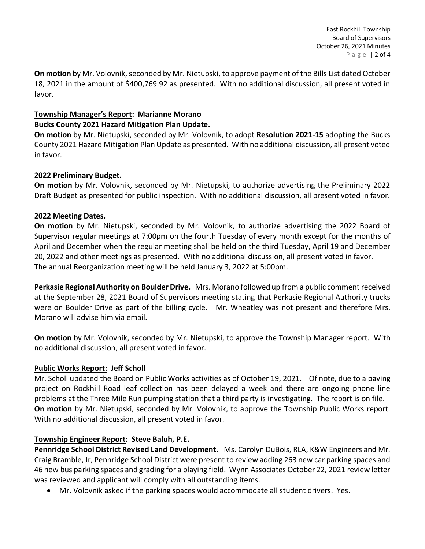**On motion** by Mr. Volovnik, seconded by Mr. Nietupski, to approve payment of the Bills List dated October 18, 2021 in the amount of \$400,769.92 as presented. With no additional discussion, all present voted in favor.

# **Township Manager's Report: Marianne Morano**

### **Bucks County 2021 Hazard Mitigation Plan Update.**

**On motion** by Mr. Nietupski, seconded by Mr. Volovnik, to adopt **Resolution 2021-15** adopting the Bucks County 2021 Hazard Mitigation Plan Update as presented. With no additional discussion, all present voted in favor.

### **2022 Preliminary Budget.**

**On motion** by Mr. Volovnik, seconded by Mr. Nietupski, to authorize advertising the Preliminary 2022 Draft Budget as presented for public inspection. With no additional discussion, all present voted in favor.

### **2022 Meeting Dates.**

**On motion** by Mr. Nietupski, seconded by Mr. Volovnik, to authorize advertising the 2022 Board of Supervisor regular meetings at 7:00pm on the fourth Tuesday of every month except for the months of April and December when the regular meeting shall be held on the third Tuesday, April 19 and December 20, 2022 and other meetings as presented. With no additional discussion, all present voted in favor. The annual Reorganization meeting will be held January 3, 2022 at 5:00pm.

**Perkasie Regional Authority on Boulder Drive.** Mrs. Morano followed up from a public comment received at the September 28, 2021 Board of Supervisors meeting stating that Perkasie Regional Authority trucks were on Boulder Drive as part of the billing cycle. Mr. Wheatley was not present and therefore Mrs. Morano will advise him via email.

**On motion** by Mr. Volovnik, seconded by Mr. Nietupski, to approve the Township Manager report. With no additional discussion, all present voted in favor.

# **Public Works Report: Jeff Scholl**

Mr. Scholl updated the Board on Public Works activities as of October 19, 2021. Of note, due to a paving project on Rockhill Road leaf collection has been delayed a week and there are ongoing phone line problems at the Three Mile Run pumping station that a third party is investigating. The report is on file. **On motion** by Mr. Nietupski, seconded by Mr. Volovnik, to approve the Township Public Works report. With no additional discussion, all present voted in favor.

# **Township Engineer Report: Steve Baluh, P.E.**

**Pennridge School District Revised Land Development.** Ms. Carolyn DuBois, RLA, K&W Engineers and Mr. Craig Bramble, Jr, Pennridge School District were present to review adding 263 new car parking spaces and 46 new bus parking spaces and grading for a playing field. Wynn Associates October 22, 2021 review letter was reviewed and applicant will comply with all outstanding items.

• Mr. Volovnik asked if the parking spaces would accommodate all student drivers. Yes.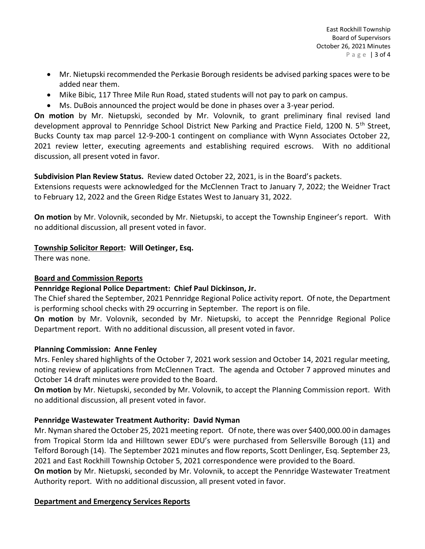- Mr. Nietupski recommended the Perkasie Borough residents be advised parking spaces were to be added near them.
- Mike Bibic, 117 Three Mile Run Road, stated students will not pay to park on campus.
- Ms. DuBois announced the project would be done in phases over a 3-year period.

**On motion** by Mr. Nietupski, seconded by Mr. Volovnik, to grant preliminary final revised land development approval to Pennridge School District New Parking and Practice Field, 1200 N. 5<sup>th</sup> Street, Bucks County tax map parcel 12-9-200-1 contingent on compliance with Wynn Associates October 22, 2021 review letter, executing agreements and establishing required escrows. With no additional discussion, all present voted in favor.

### **Subdivision Plan Review Status.** Review dated October 22, 2021, is in the Board's packets.

Extensions requests were acknowledged for the McClennen Tract to January 7, 2022; the Weidner Tract to February 12, 2022 and the Green Ridge Estates West to January 31, 2022.

**On motion** by Mr. Volovnik, seconded by Mr. Nietupski, to accept the Township Engineer's report. With no additional discussion, all present voted in favor.

### **Township Solicitor Report: Will Oetinger, Esq.**

There was none.

### **Board and Commission Reports**

# **Pennridge Regional Police Department: Chief Paul Dickinson, Jr.**

The Chief shared the September, 2021 Pennridge Regional Police activity report. Of note, the Department is performing school checks with 29 occurring in September. The report is on file.

**On motion** by Mr. Volovnik, seconded by Mr. Nietupski, to accept the Pennridge Regional Police Department report. With no additional discussion, all present voted in favor.

### **Planning Commission: Anne Fenley**

Mrs. Fenley shared highlights of the October 7, 2021 work session and October 14, 2021 regular meeting, noting review of applications from McClennen Tract. The agenda and October 7 approved minutes and October 14 draft minutes were provided to the Board.

**On motion** by Mr. Nietupski, seconded by Mr. Volovnik, to accept the Planning Commission report. With no additional discussion, all present voted in favor.

# **Pennridge Wastewater Treatment Authority: David Nyman**

Mr. Nyman shared the October 25, 2021 meeting report. Of note, there was over \$400,000.00 in damages from Tropical Storm Ida and Hilltown sewer EDU's were purchased from Sellersville Borough (11) and Telford Borough (14). The September 2021 minutes and flow reports, Scott Denlinger, Esq. September 23, 2021 and East Rockhill Township October 5, 2021 correspondence were provided to the Board.

**On motion** by Mr. Nietupski, seconded by Mr. Volovnik, to accept the Pennridge Wastewater Treatment Authority report. With no additional discussion, all present voted in favor.

# **Department and Emergency Services Reports**